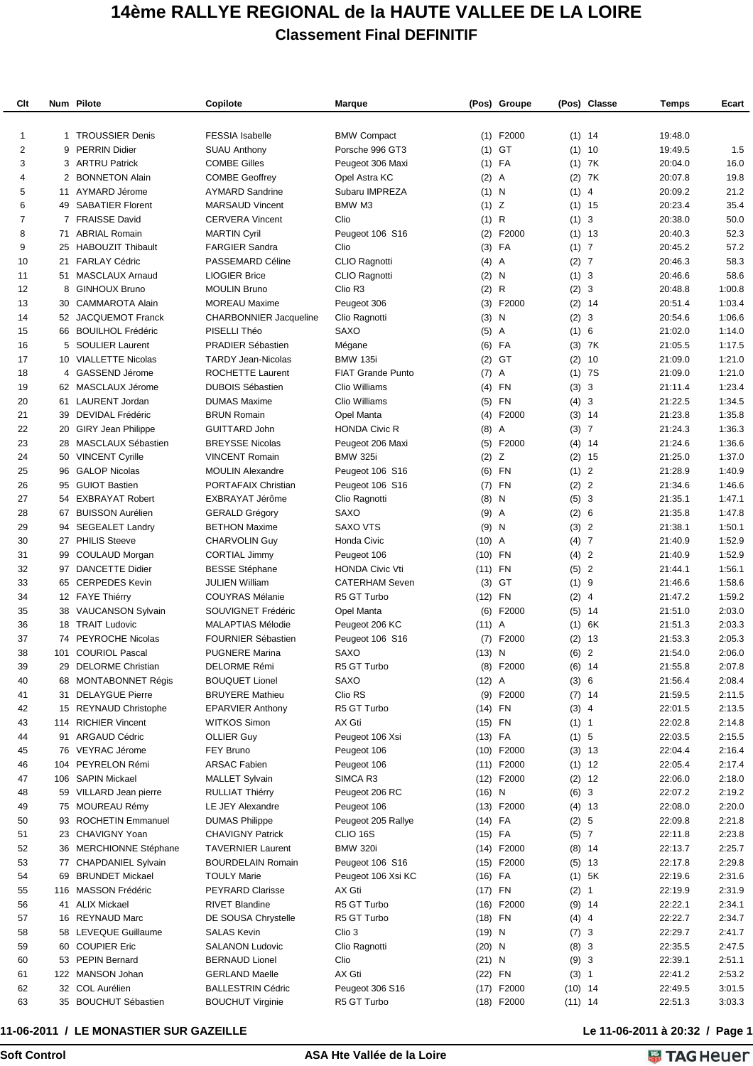## **14ème RALLYE REGIONAL de la HAUTE VALLEE DE LA LOIRE Classement Final DEFINITIF**

| Clt            |    | Num Pilote                             | Copilote                      | Marque                   |           | (Pos) Groupe   |           | (Pos) Classe | Temps              | Ecart            |
|----------------|----|----------------------------------------|-------------------------------|--------------------------|-----------|----------------|-----------|--------------|--------------------|------------------|
|                |    |                                        |                               |                          |           |                |           |              |                    |                  |
| 1              |    | 1 TROUSSIER Denis                      | <b>FESSIA</b> Isabelle        | <b>BMW Compact</b>       |           | $(1)$ F2000    |           | $(1)$ 14     | 19:48.0            |                  |
| 2              | 9  | <b>PERRIN Didier</b>                   | <b>SUAU Anthony</b>           | Porsche 996 GT3          | (1)       | GT             |           | $(1)$ 10     | 19:49.5            | 1.5              |
| 3              |    | 3 ARTRU Patrick                        | <b>COMBE Gilles</b>           | Peugeot 306 Maxi         |           | $(1)$ FA       |           | $(1)$ 7K     | 20:04.0            | 16.0             |
| 4              |    | 2 BONNETON Alain                       | <b>COMBE Geoffrey</b>         | Opel Astra KC            | (2)       | A              |           | $(2)$ 7K     | 20:07.8            | 19.8             |
| 5              |    | 11 AYMARD Jérome                       | <b>AYMARD Sandrine</b>        | Subaru IMPREZA           | $(1)$ N   |                | $(1)$ 4   |              | 20:09.2            | 21.2             |
| 6              |    | 49 SABATIER Florent                    | <b>MARSAUD Vincent</b>        | BMW M3                   | $(1)$ Z   |                |           | $(1)$ 15     | 20:23.4            | 35.4             |
| $\overline{7}$ |    | 7 FRAISSE David                        | <b>CERVERA Vincent</b>        | Clio                     | (1) R     |                | (1) 3     |              | 20:38.0            | 50.0             |
| 8              |    | 71 ABRIAL Romain                       | <b>MARTIN Cyril</b>           | Peugeot 106 S16          | (2)       | F2000          |           | $(1)$ 13     | 20:40.3            | 52.3             |
| 9              |    | 25 HABOUZIT Thibault                   | <b>FARGIER Sandra</b>         | Clio                     |           | $(3)$ FA       | (1) 7     |              | 20:45.2            | 57.2             |
| 10             |    | 21 FARLAY Cédric                       | PASSEMARD Céline              | CLIO Ragnotti            | (4)       | $\mathsf{A}$   | (2) 7     |              | 20:46.3            | 58.3             |
| 11             |    | 51 MASCLAUX Arnaud                     | <b>LIOGIER Brice</b>          | CLIO Ragnotti            | (2)       | N              | (1) 3     |              | 20:46.6            | 58.6             |
| 12             | 8  | <b>GINHOUX Bruno</b>                   | <b>MOULIN Bruno</b>           | Clio R <sub>3</sub>      | $(2)$ R   |                | (2) 3     |              | 20:48.8            | 1:00.8           |
| 13             | 30 | CAMMAROTA Alain                        | <b>MOREAU Maxime</b>          | Peugeot 306              |           | $(3)$ F2000    |           | $(2)$ 14     | 20:51.4            | 1:03.4           |
| 14             |    | 52 JACQUEMOT Franck                    | <b>CHARBONNIER Jacqueline</b> | Clio Ragnotti            | (3)       | N              | (2)       | -3           | 20:54.6            | 1:06.6           |
| 15             |    | 66 BOUILHOL Frédéric                   | PISELLI Théo                  | SAXO                     | (5)       | $\overline{A}$ | (1) 6     |              | 21:02.0            | 1:14.0           |
| 16             |    | 5 SOULIER Laurent                      | <b>PRADIER Sébastien</b>      | Mégane                   |           | $(6)$ FA       |           | $(3)$ 7K     | 21:05.5            | 1:17.5           |
| 17             |    | 10 VIALLETTE Nicolas                   | <b>TARDY Jean-Nicolas</b>     | <b>BMW 135i</b>          | (2)       | GT             |           | $(2)$ 10     | 21:09.0            | 1:21.0           |
| 18             | 4  | GASSEND Jérome                         | <b>ROCHETTE Laurent</b>       | <b>FIAT Grande Punto</b> | (7)       | $\overline{A}$ |           | $(1)$ 7S     | 21:09.0            | 1:21.0           |
| 19             |    | 62 MASCLAUX Jérome                     | <b>DUBOIS Sébastien</b>       | Clio Williams            |           | $(4)$ FN       | (3) 3     |              | 21:11.4            | 1:23.4           |
| 20             |    | 61 LAURENT Jordan                      | <b>DUMAS Maxime</b>           | Clio Williams            |           | $(5)$ FN       | (4) 3     |              | 21:22.5            | 1:34.5           |
| 21             |    | 39 DEVIDAL Frédéric                    | <b>BRUN Romain</b>            | Opel Manta               |           | $(4)$ F2000    |           | $(3)$ 14     | 21:23.8            | 1:35.8           |
| 22             |    | 20 GIRY Jean Philippe                  | <b>GUITTARD John</b>          | <b>HONDA Civic R</b>     | $(8)$ A   |                | (3) 7     |              | 21:24.3            | 1:36.3           |
| 23             |    | 28 MASCLAUX Sébastien                  | <b>BREYSSE Nicolas</b>        | Peugeot 206 Maxi         | (5)       | F2000          |           | $(4)$ 14     | 21:24.6            | 1:36.6           |
| 24             |    |                                        | <b>VINCENT Romain</b>         |                          | (2)       | Z              |           |              |                    |                  |
| 25             |    | 50 VINCENT Cyrille<br>96 GALOP Nicolas | <b>MOULIN Alexandre</b>       | <b>BMW 325i</b>          |           | $(6)$ FN       | (1) 2     | $(2)$ 15     | 21:25.0<br>21:28.9 | 1:37.0<br>1:40.9 |
|                |    |                                        |                               | Peugeot 106 S16          |           |                |           |              |                    |                  |
| 26             |    | 95 GUIOT Bastien                       | <b>PORTAFAIX Christian</b>    | Peugeot 106 S16          |           | $(7)$ FN       | (2) 2     |              | 21:34.6            | 1:46.6           |
| 27             |    | 54 EXBRAYAT Robert                     | EXBRAYAT Jérôme               | Clio Ragnotti            | $(8)$ N   |                | (5) 3     |              | 21:35.1            | 1:47.1           |
| 28             |    | 67 BUISSON Aurélien                    | <b>GERALD Grégory</b>         | <b>SAXO</b>              | $(9)$ A   |                | (2) 6     |              | 21:35.8            | 1:47.8           |
| 29             |    | 94 SEGEALET Landry                     | <b>BETHON Maxime</b>          | <b>SAXO VTS</b>          | $(9)$ N   |                | (3) 2     |              | 21:38.1            | 1:50.1           |
| 30             |    | 27 PHILIS Steeve                       | <b>CHARVOLIN Guy</b>          | Honda Civic              | $(10)$ A  |                | (4)7      |              | 21:40.9            | 1:52.9           |
| 31             |    | 99 COULAUD Morgan                      | <b>CORTIAL Jimmy</b>          | Peugeot 106              | $(10)$ FN |                | (4) 2     |              | 21:40.9            | 1:52.9           |
| 32             |    | 97 DANCETTE Didier                     | <b>BESSE Stéphane</b>         | <b>HONDA Civic Vti</b>   | $(11)$ FN |                | (5) 2     |              | 21:44.1            | 1:56.1           |
| 33             |    | 65 CERPEDES Kevin                      | <b>JULIEN William</b>         | <b>CATERHAM Seven</b>    | (3)       | GT             | (1) 9     |              | 21:46.6            | 1:58.6           |
| 34             |    | 12 FAYE Thiérry                        | <b>COUYRAS Mélanie</b>        | R5 GT Turbo              | $(12)$ FN |                | $(2)$ 4   |              | 21:47.2            | 1:59.2           |
| 35             |    | 38 VAUCANSON Sylvain                   | SOUVIGNET Frédéric            | Opel Manta               | (6)       | F2000          |           | $(5)$ 14     | 21:51.0            | 2:03.0           |
| 36             |    | 18 TRAIT Ludovic                       | <b>MALAPTIAS Mélodie</b>      | Peugeot 206 KC           | $(11)$ A  |                |           | $(1)$ 6K     | 21:51.3            | 2:03.3           |
| 37             |    | 74 PEYROCHE Nicolas                    | <b>FOURNIER Sébastien</b>     | Peugeot 106 S16          | (7)       | F2000          | (2)       | 13           | 21:53.3            | 2:05.3           |
| 38             |    | 101 COURIOL Pascal                     | <b>PUGNERE Marina</b>         | <b>SAXO</b>              | $(13)$ N  |                | (6) 2     |              | 21:54.0            | 2:06.0           |
| 39             |    | 29 DELORME Christian                   | DELORME Rémi                  | R5 GT Turbo              |           | (8) F2000      |           | $(6)$ 14     | 21:55.8            | 2:07.8           |
| 40             |    | 68 MONTABONNET Régis                   | <b>BOUQUET Lionel</b>         | SAXO                     | $(12)$ A  |                | (3) 6     |              | 21:56.4            | 2:08.4           |
| 41             |    | 31 DELAYGUE Pierre                     | <b>BRUYERE Mathieu</b>        | Clio RS                  |           | $(9)$ F2000    |           | $(7)$ 14     | 21:59.5            | 2:11.5           |
| 42             |    | 15 REYNAUD Christophe                  | <b>EPARVIER Anthony</b>       | R5 GT Turbo              | (14) FN   |                | $(3)$ 4   |              | 22:01.5            | 2:13.5           |
| 43             |    | 114 RICHIER Vincent                    | <b>WITKOS Simon</b>           | AX Gti                   | $(15)$ FN |                | (1) 1     |              | 22:02.8            | 2:14.8           |
| 44             |    | 91 ARGAUD Cédric                       | <b>OLLIER Guy</b>             | Peugeot 106 Xsi          | $(13)$ FA |                | (1) 5     |              | 22:03.5            | 2:15.5           |
| 45             |    | 76 VEYRAC Jérome                       | FEY Bruno                     | Peugeot 106              |           | $(10)$ F2000   |           | $(3)$ 13     | 22:04.4            | 2:16.4           |
| 46             |    | 104 PEYRELON Rémi                      | <b>ARSAC Fabien</b>           | Peugeot 106              |           | $(11)$ F2000   |           | $(1)$ 12     | 22:05.4            | 2:17.4           |
| 47             |    | 106 SAPIN Mickael                      | <b>MALLET Sylvain</b>         | SIMCA R3                 |           | $(12)$ F2000   |           | $(2)$ 12     | 22:06.0            | 2:18.0           |
| 48             |    | 59 VILLARD Jean pierre                 | <b>RULLIAT Thiérry</b>        | Peugeot 206 RC           | $(16)$ N  |                | (6) 3     |              | 22:07.2            | 2:19.2           |
| 49             |    | 75 MOUREAU Rémy                        | LE JEY Alexandre              | Peugeot 106              |           | $(13)$ F2000   |           | $(4)$ 13     | 22:08.0            | 2:20.0           |
| 50             |    | 93 ROCHETIN Emmanuel                   | <b>DUMAS Philippe</b>         | Peugeot 205 Rallye       | $(14)$ FA |                | (2) 5     |              | 22:09.8            | 2:21.8           |
| 51             |    | 23 CHAVIGNY Yoan                       | <b>CHAVIGNY Patrick</b>       | CLIO 16S                 | $(15)$ FA |                | $(5)$ 7   |              | 22:11.8            | 2:23.8           |
| 52             |    | 36 MERCHIONNE Stéphane                 | <b>TAVERNIER Laurent</b>      | <b>BMW 320i</b>          |           | $(14)$ F2000   |           | $(8)$ 14     | 22:13.7            | 2:25.7           |
| 53             |    | 77 CHAPDANIEL Sylvain                  | <b>BOURDELAIN Romain</b>      | Peugeot 106 S16          | (15)      | F2000          |           | $(5)$ 13     | 22:17.8            | 2:29.8           |
| 54             |    | 69 BRUNDET Mickael                     | <b>TOULY Marie</b>            | Peugeot 106 Xsi KC       | $(16)$ FA |                |           | $(1)$ 5K     | 22:19.6            | 2:31.6           |
| 55             |    | 116 MASSON Frédéric                    | <b>PEYRARD Clarisse</b>       | AX Gti                   | $(17)$ FN |                | (2) 1     |              | 22:19.9            | 2:31.9           |
| 56             |    | 41 ALIX Mickael                        | <b>RIVET Blandine</b>         | R5 GT Turbo              |           | $(16)$ F2000   |           | $(9)$ 14     | 22:22.1            | 2:34.1           |
| 57             |    | 16 REYNAUD Marc                        | DE SOUSA Chrystelle           | R5 GT Turbo              | $(18)$ FN |                | $(4)$ 4   |              | 22:22.7            | 2:34.7           |
| 58             |    | 58 LEVEQUE Guillaume                   | <b>SALAS Kevin</b>            | Clio 3                   | $(19)$ N  |                | (7) 3     |              | 22:29.7            | 2:41.7           |
| 59             |    | 60 COUPIER Eric                        | <b>SALANON Ludovic</b>        | Clio Ragnotti            | $(20)$ N  |                | (8) 3     |              | 22:35.5            | 2:47.5           |
| 60             |    | 53 PEPIN Bernard                       | <b>BERNAUD Lionel</b>         | Clio                     | $(21)$ N  |                | (9) 3     |              | 22:39.1            | 2:51.1           |
| 61             |    | 122 MANSON Johan                       | <b>GERLAND Maelle</b>         | AX Gti                   | (22) FN   |                | (3) 1     |              | 22:41.2            | 2:53.2           |
| 62             |    | 32 COL Aurélien                        | <b>BALLESTRIN Cédric</b>      | Peugeot 306 S16          |           | $(17)$ F2000   | $(10)$ 14 |              | 22:49.5            | 3:01.5           |
| 63             |    | 35 BOUCHUT Sébastien                   | <b>BOUCHUT Virginie</b>       | R5 GT Turbo              |           | $(18)$ F2000   | $(11)$ 14 |              | 22:51.3            | 3:03.3           |

## **11-06-2011 / LE MONASTIER SUR GAZEILLE Le 11-06-2011 à 20:32 / Page 1**

 $\overline{\phantom{0}}$